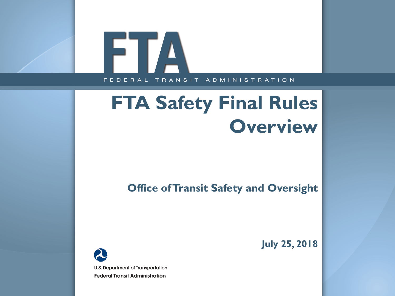#### FTA FEDERAL TRANSIT ADMINISTRATION

# **FTA Safety Final Rules Overview**

**Office of Transit Safety and Oversight**



**July 25, 2018**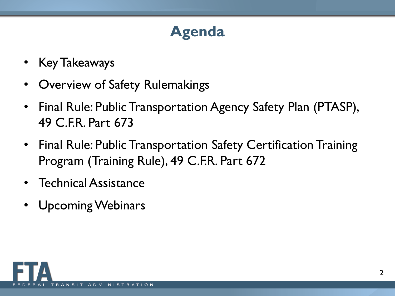# **Agenda**

- Key Takeaways
- Overview of Safety Rulemakings
- Final Rule: Public Transportation Agency Safety Plan (PTASP), 49 C.F.R. Part 673
- Final Rule: Public Transportation Safety Certification Training Program (Training Rule), 49 C.F.R. Part 672
- Technical Assistance
- Upcoming Webinars

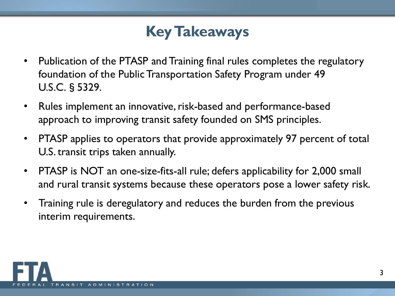### **Key Takeaways**

- Publication of the PTASP and Training final rules completes the regulatory foundation of the Public Transportation Safety Program under 49 U.S.C.§5329.
- Rules implement an innovative, risk-based and performance-based approach to improving transit safety founded on SMS principles.
- PTASP applies to operators that provide approximately 97 percent of total U.S. transit trips taken annually.
- PTASP is NOT an one-size-fits-all rule; defers applicability for 2,000 small and rural transit systems because these operators pose a lower safety risk.
- Training rule is deregulatory and reduces the burden from the previous interim requirements.

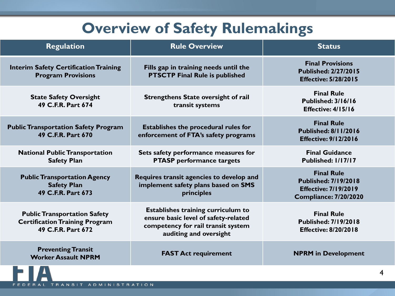#### **Overview of Safety Rulemakings**

| <b>Regulation</b>                                                                                  | <b>Rule Overview</b>                                                                                                                       | <b>Status</b>                                                                                                   |
|----------------------------------------------------------------------------------------------------|--------------------------------------------------------------------------------------------------------------------------------------------|-----------------------------------------------------------------------------------------------------------------|
| <b>Interim Safety Certification Training</b><br><b>Program Provisions</b>                          | Fills gap in training needs until the<br><b>PTSCTP Final Rule is published</b>                                                             | <b>Final Provisions</b><br><b>Published: 2/27/2015</b><br><b>Effective: 5/28/2015</b>                           |
| <b>State Safety Oversight</b><br>49 C.F.R. Part 674                                                | <b>Strengthens State oversight of rail</b><br>transit systems                                                                              | <b>Final Rule</b><br><b>Published: 3/16/16</b><br>Effective: 4/15/16                                            |
| <b>Public Transportation Safety Program</b><br>49 C.F.R. Part 670                                  | Establishes the procedural rules for<br>enforcement of FTA's safety programs                                                               | <b>Final Rule</b><br><b>Published: 8/11/2016</b><br><b>Effective: 9/12/2016</b>                                 |
| <b>National Public Transportation</b><br><b>Safety Plan</b>                                        | Sets safety performance measures for<br><b>PTASP</b> performance targets                                                                   | <b>Final Guidance</b><br>Published: 1/17/17                                                                     |
| <b>Public Transportation Agency</b><br><b>Safety Plan</b><br>49 C.F.R. Part 673                    | Requires transit agencies to develop and<br>implement safety plans based on SMS<br>principles                                              | <b>Final Rule</b><br><b>Published: 7/19/2018</b><br><b>Effective: 7/19/2019</b><br><b>Compliance: 7/20/2020</b> |
| <b>Public Transportation Safety</b><br><b>Certification Training Program</b><br>49 C.F.R. Part 672 | Establishes training curriculum to<br>ensure basic level of safety-related<br>competency for rail transit system<br>auditing and oversight | <b>Final Rule</b><br><b>Published: 7/19/2018</b><br><b>Effective: 8/20/2018</b>                                 |
| <b>Preventing Transit</b><br><b>Worker Assault NPRM</b>                                            | <b>FAST Act requirement</b>                                                                                                                | <b>NPRM</b> in Development                                                                                      |
|                                                                                                    |                                                                                                                                            |                                                                                                                 |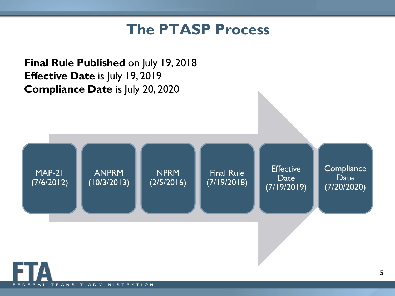#### **The PTASP Process**

**Final Rule Published** on July 19, 2018 **Effective Date** is July 19, 2019 **Compliance Date** is July 20, 2020 MAP-21 (7/6/2012) ANPRM (10/3/2013) NPRM (2/5/2016) Final Rule (7/19/2018) **Effective** Date (7/19/2019) **Compliance Date** (7/20/2020)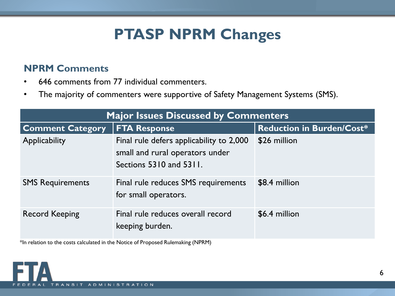### **PTASP NPRM Changes**

#### **NPRM Comments**

- 646 comments from 77 individual commenters.
- The majority of commenters were supportive of Safety Management Systems (SMS).

| <b>Major Issues Discussed by Commenters</b> |                                                                                                        |                                  |  |  |
|---------------------------------------------|--------------------------------------------------------------------------------------------------------|----------------------------------|--|--|
| <b>Comment Category</b>                     | <b>FTA Response</b>                                                                                    | <b>Reduction in Burden/Cost*</b> |  |  |
| Applicability                               | Final rule defers applicability to 2,000<br>small and rural operators under<br>Sections 5310 and 5311. | \$26 million                     |  |  |
| <b>SMS Requirements</b>                     | Final rule reduces SMS requirements<br>for small operators.                                            | \$8.4 million                    |  |  |
| <b>Record Keeping</b>                       | Final rule reduces overall record<br>keeping burden.                                                   | \$6.4 million                    |  |  |

\*In relation to the costs calculated in the Notice of Proposed Rulemaking (NPRM)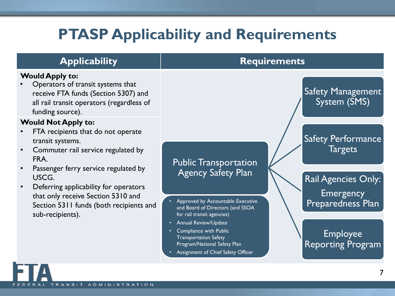### **PTASP Applicability and Requirements**

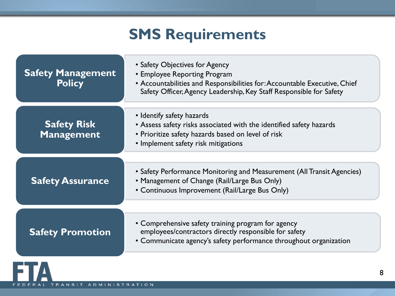### **SMS Requirements**

| <b>Safety Management</b><br><b>Policy</b> | • Safety Objectives for Agency<br>• Employee Reporting Program<br>• Accountabilities and Responsibilities for: Accountable Executive, Chief<br>Safety Officer, Agency Leadership, Key Staff Responsible for Safety |
|-------------------------------------------|--------------------------------------------------------------------------------------------------------------------------------------------------------------------------------------------------------------------|
| <b>Safety Risk</b><br><b>Management</b>   | • Identify safety hazards<br>• Assess safety risks associated with the identified safety hazards<br>• Prioritize safety hazards based on level of risk<br>• Implement safety risk mitigations                      |
| <b>Safety Assurance</b>                   | • Safety Performance Monitoring and Measurement (All Transit Agencies)<br>• Management of Change (Rail/Large Bus Only)<br>• Continuous Improvement (Rail/Large Bus Only)                                           |
| <b>Safety Promotion</b>                   | • Comprehensive safety training program for agency<br>employees/contractors directly responsible for safety<br>• Communicate agency's safety performance throughout organization                                   |
|                                           |                                                                                                                                                                                                                    |

 $\Delta$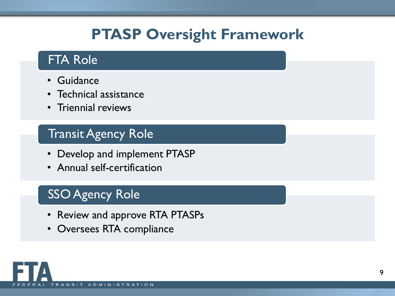### **PTASP Oversight Framework**

#### FTA Role

- Guidance
- Technical assistance
- Triennial reviews

#### Transit Agency Role

- Develop and implement PTASP
- Annual self-certification

#### **SSO Agency Role**

- Review and approve RTA PTASPs
- Oversees RTA compliance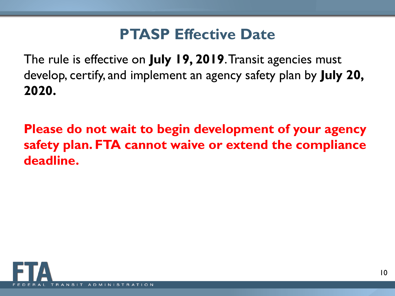#### **PTASP Effective Date**

The rule is effective on **July 19, 2019**. Transit agencies must develop, certify, and implement an agency safety plan by **July 20, 2020.**

**Please do not wait to begin development of your agency safety plan. FTA cannot waive or extend the compliance deadline.** 

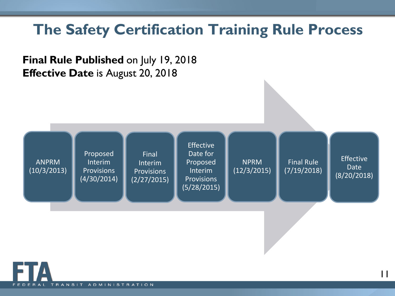#### **The Safety Certification Training Rule Process**





11

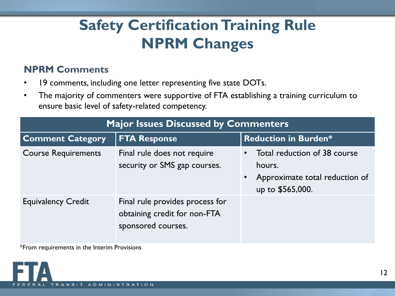### **Safety Certification Training Rule NPRM Changes**

#### **NPRM Comments**

- 19 comments, including one letter representing five state DOTs.
- The majority of commenters were supportive of FTA establishing a training curriculum to ensure basic level of safety-related competency.

| Plajor issues Discussed by Committencers |                                                                                       |                                                                                                           |  |
|------------------------------------------|---------------------------------------------------------------------------------------|-----------------------------------------------------------------------------------------------------------|--|
| <b>Comment Category</b>                  | <b>FTA Response</b>                                                                   | <b>Reduction in Burden*</b>                                                                               |  |
| <b>Course Requirements</b>               | Final rule does not require<br>security or SMS gap courses.                           | Total reduction of 38 course<br>hours.<br>Approximate total reduction of<br>$\bullet$<br>up to \$565,000. |  |
| <b>Equivalency Credit</b>                | Final rule provides process for<br>obtaining credit for non-FTA<br>sponsored courses. |                                                                                                           |  |

**Major Issues Discussed by Commenters**

\*From requirements in the Interim Provisions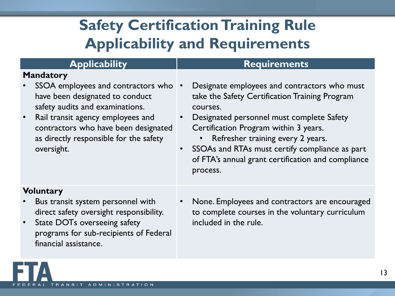# **Safety Certification Training Rule Applicability and Requirements**

| <b>Applicability</b>                                                                                                                                                                                                                                              | <b>Requirements</b>                                                                                                                                                                                                                                                                                                                                                                 |
|-------------------------------------------------------------------------------------------------------------------------------------------------------------------------------------------------------------------------------------------------------------------|-------------------------------------------------------------------------------------------------------------------------------------------------------------------------------------------------------------------------------------------------------------------------------------------------------------------------------------------------------------------------------------|
| <b>Mandatory</b><br>SSOA employees and contractors who<br>have been designated to conduct<br>safety audits and examinations.<br>Rail transit agency employees and<br>contractors who have been designated<br>as directly responsible for the safety<br>oversight. | Designate employees and contractors who must<br>take the Safety Certification Training Program<br>courses.<br>Designated personnel must complete Safety<br>$\bullet$<br>Certification Program within 3 years.<br>Refresher training every 2 years.<br>SSOAs and RTAs must certify compliance as part<br>$\bullet$<br>of FTA's annual grant certification and compliance<br>process. |
| <b>Voluntary</b><br>Bus transit system personnel with<br>direct safety oversight responsibility.<br>State DOTs overseeing safety<br>programs for sub-recipients of Federal<br>financial assistance.                                                               | None. Employees and contractors are encouraged<br>to complete courses in the voluntary curriculum<br>included in the rule.                                                                                                                                                                                                                                                          |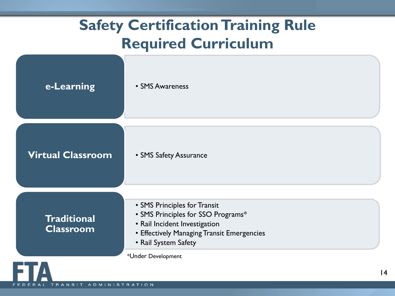### **Safety Certification Training Rule Required Curriculum**

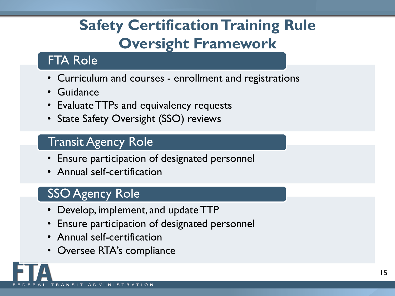# **Safety Certification Training Rule Oversight Framework**

#### FTA Role

- Curriculum and courses enrollment and registrations
- Guidance
- Evaluate TTPs and equivalency requests
- State Safety Oversight (SSO) reviews

#### Transit Agency Role

- Ensure participation of designated personnel
- Annual self-certification

#### SSO Agency Role

- Develop, implement, and update TTP
- Ensure participation of designated personnel
- Annual self-certification
- Oversee RTA's compliance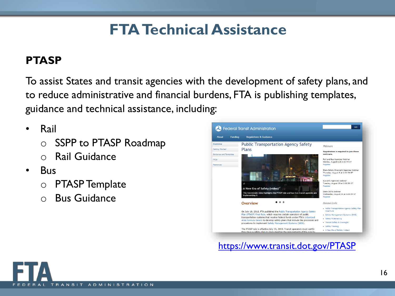### **FTA Technical Assistance**

#### **PTASP**

To assist States and transit agencies with the development of safety plans, and to reduce administrative and financial burdens, FTA is publishing templates, guidance and technical assistance, including:

- Rail
	- o SSPP to PTASP Roadmap
	- o Rail Guidance
- Bus
	- o PTASP Template
	- o Bus Guidance

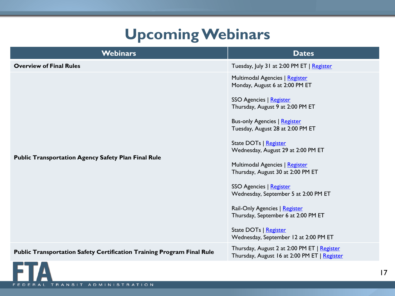### **Upcoming Webinars**

| <b>Webinars</b>                                                               | <b>Dates</b>                                                                                                                                                                                                                                                                                                                                                                                                                                                                                                                                                  |
|-------------------------------------------------------------------------------|---------------------------------------------------------------------------------------------------------------------------------------------------------------------------------------------------------------------------------------------------------------------------------------------------------------------------------------------------------------------------------------------------------------------------------------------------------------------------------------------------------------------------------------------------------------|
| <b>Overview of Final Rules</b>                                                | Tuesday, July 31 at 2:00 PM ET   Register                                                                                                                                                                                                                                                                                                                                                                                                                                                                                                                     |
| <b>Public Transportation Agency Safety Plan Final Rule</b>                    | Multimodal Agencies   Register<br>Monday, August 6 at 2:00 PM ET<br>SSO Agencies   Register<br>Thursday, August 9 at 2:00 PM ET<br><b>Bus-only Agencies   Register</b><br>Tuesday, August 28 at 2:00 PM ET<br>State DOTs   Register<br>Wednesday, August 29 at 2:00 PM ET<br>Multimodal Agencies   Register<br>Thursday, August 30 at 2:00 PM ET<br>SSO Agencies   Register<br>Wednesday, September 5 at 2:00 PM ET<br>Rail-Only Agencies   Register<br>Thursday, September 6 at 2:00 PM ET<br>State DOTs   Register<br>Wednesday, September 12 at 2:00 PM ET |
| <b>Public Transportation Safety Certification Training Program Final Rule</b> | Thursday, August 2 at 2:00 PM ET   Register<br>Thursday, August 16 at 2:00 PM ET   Register                                                                                                                                                                                                                                                                                                                                                                                                                                                                   |